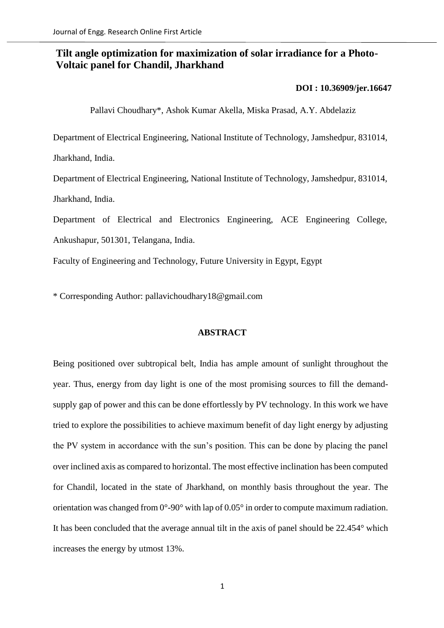# **Tilt angle optimization for maximization of solar irradiance for a Photo-Voltaic panel for Chandil, Jharkhand**

**[DOI : 10.36909/jer.16647](https://doi.org/10.36909/jer.16647)**

Pallavi Choudhary\*, Ashok Kumar Akella, Miska Prasad, A.Y. Abdelaziz

Department of Electrical Engineering, National Institute of Technology, Jamshedpur, 831014,

Jharkhand, India.

Department of Electrical Engineering, National Institute of Technology, Jamshedpur, 831014, Jharkhand, India.

Department of Electrical and Electronics Engineering, ACE Engineering College, Ankushapur, 501301, Telangana, India.

Faculty of Engineering and Technology, Future University in Egypt, Egypt

\* Corresponding Author: pallavichoudhary18@gmail.com

# **ABSTRACT**

Being positioned over subtropical belt, India has ample amount of sunlight throughout the year. Thus, energy from day light is one of the most promising sources to fill the demandsupply gap of power and this can be done effortlessly by PV technology. In this work we have tried to explore the possibilities to achieve maximum benefit of day light energy by adjusting the PV system in accordance with the sun's position. This can be done by placing the panel over inclined axis as compared to horizontal. The most effective inclination has been computed for Chandil, located in the state of Jharkhand, on monthly basis throughout the year. The orientation was changed from 0°-90° with lap of 0.05° in order to compute maximum radiation. It has been concluded that the average annual tilt in the axis of panel should be 22.454° which increases the energy by utmost 13%.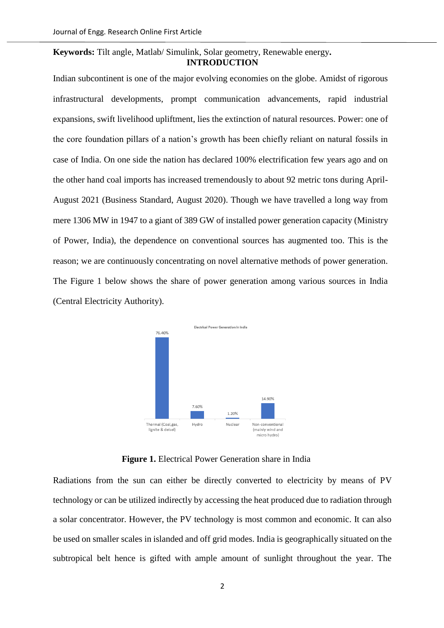## **Keywords:** Tilt angle, Matlab/ Simulink, Solar geometry, Renewable energy**. INTRODUCTION**

Indian subcontinent is one of the major evolving economies on the globe. Amidst of rigorous infrastructural developments, prompt communication advancements, rapid industrial expansions, swift livelihood upliftment, lies the extinction of natural resources. Power: one of the core foundation pillars of a nation's growth has been chiefly reliant on natural fossils in case of India. On one side the nation has declared 100% electrification few years ago and on the other hand coal imports has increased tremendously to about 92 metric tons during April-August 2021 (Business Standard, August 2020). Though we have travelled a long way from mere 1306 MW in 1947 to a giant of 389 GW of installed power generation capacity (Ministry of Power, India), the dependence on conventional sources has augmented too. This is the reason; we are continuously concentrating on novel alternative methods of power generation. The Figure 1 below shows the share of power generation among various sources in India (Central Electricity Authority).



**Figure 1.** Electrical Power Generation share in India

Radiations from the sun can either be directly converted to electricity by means of PV technology or can be utilized indirectly by accessing the heat produced due to radiation through a solar concentrator. However, the PV technology is most common and economic. It can also be used on smaller scales in islanded and off grid modes. India is geographically situated on the subtropical belt hence is gifted with ample amount of sunlight throughout the year. The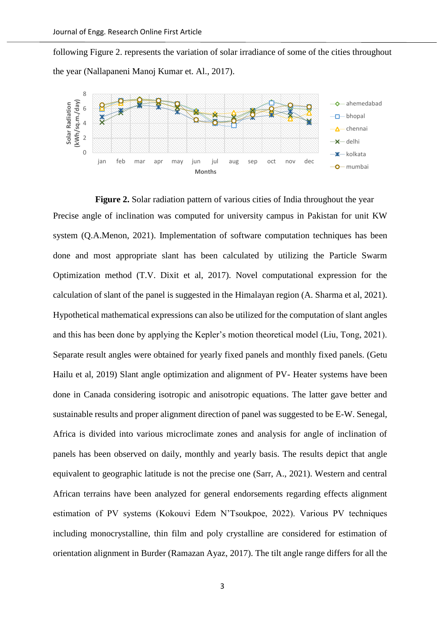following Figure 2. represents the variation of solar irradiance of some of the cities throughout the year (Nallapaneni Manoj Kumar et. Al., 2017).



**Figure 2.** Solar radiation pattern of various cities of India throughout the year Precise angle of inclination was computed for university campus in Pakistan for unit KW system (Q.A.Menon, 2021). Implementation of software computation techniques has been done and most appropriate slant has been calculated by utilizing the Particle Swarm Optimization method (T.V. Dixit et al, 2017). Novel computational expression for the calculation of slant of the panel is suggested in the Himalayan region (A. Sharma et al, 2021). Hypothetical mathematical expressions can also be utilized for the computation of slant angles and this has been done by applying the Kepler's motion theoretical model (Liu, Tong, 2021). Separate result angles were obtained for yearly fixed panels and monthly fixed panels. (Getu Hailu et al, 2019) Slant angle optimization and alignment of PV- Heater systems have been done in Canada considering isotropic and anisotropic equations. The latter gave better and sustainable results and proper alignment direction of panel was suggested to be E-W. Senegal, Africa is divided into various microclimate zones and analysis for angle of inclination of panels has been observed on daily, monthly and yearly basis. The results depict that angle equivalent to geographic latitude is not the precise one (Sarr, A., 2021). Western and central African terrains have been analyzed for general endorsements regarding effects alignment estimation of PV systems (Kokouvi Edem N'Tsoukpoe, 2022). Various PV techniques including monocrystalline, thin film and poly crystalline are considered for estimation of orientation alignment in Burder [\(Ramazan Ayaz,](javascript:;) 2017). The tilt angle range differs for all the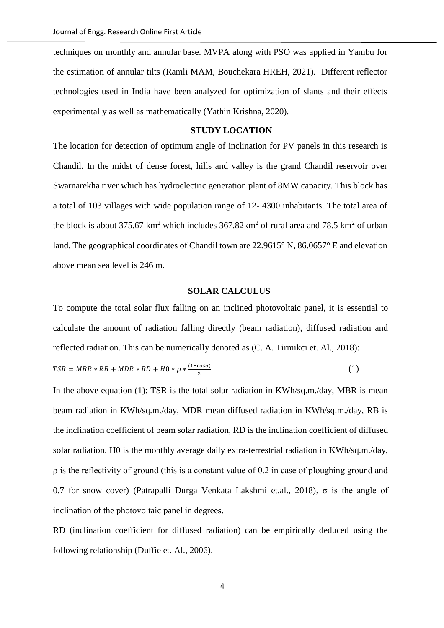techniques on monthly and annular base. MVPA along with PSO was applied in Yambu for the estimation of annular tilts (Ramli MAM, Bouchekara HREH, 2021). Different reflector technologies used in India have been analyzed for optimization of slants and their effects experimentally as well as mathematically (Yathin Krishna, 2020).

#### **STUDY LOCATION**

The location for detection of optimum angle of inclination for PV panels in this research is Chandil. In the midst of dense forest, hills and valley is the grand Chandil reservoir over Swarnarekha river which has hydroelectric generation plant of 8MW capacity. This block has a total of 103 villages with wide population range of 12- 4300 inhabitants. The total area of the block is about 375.67 km<sup>2</sup> which includes  $367.82 \text{km}^2$  of rural area and 78.5 km<sup>2</sup> of urban land. The geographical coordinates of Chandil town are 22.9615° N, 86.0657° E and elevation above mean sea level is 246 m.

## **SOLAR CALCULUS**

To compute the total solar flux falling on an inclined photovoltaic panel, it is essential to calculate the amount of radiation falling directly (beam radiation), diffused radiation and reflected radiation. This can be numerically denoted as (C. A. Tirmikci et. Al., 2018):

$$
TSR = MBR * RB + MDR * RD + H0 * \rho * \frac{(1 - cos\sigma)}{2}
$$
\n<sup>(1)</sup>

In the above equation (1): TSR is the total solar radiation in KWh/sq.m./day, MBR is mean beam radiation in KWh/sq.m./day, MDR mean diffused radiation in KWh/sq.m./day, RB is the inclination coefficient of beam solar radiation, RD is the inclination coefficient of diffused solar radiation. H0 is the monthly average daily extra-terrestrial radiation in KWh/sq.m./day, ρ is the reflectivity of ground (this is a constant value of 0.2 in case of ploughing ground and 0.7 for snow cover) (Patrapalli Durga Venkata Lakshmi et.al., 2018), σ is the angle of inclination of the photovoltaic panel in degrees.

RD (inclination coefficient for diffused radiation) can be empirically deduced using the following relationship (Duffie et. Al., 2006).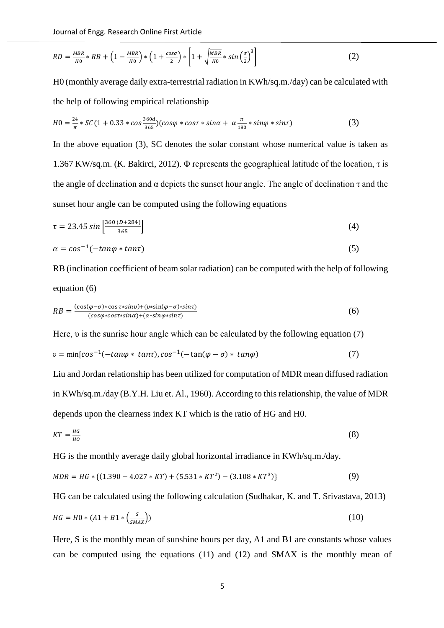$$
RD = \frac{MBR}{H0} * RB + \left(1 - \frac{MBR}{H0}\right) * \left(1 + \frac{\cos\sigma}{2}\right) * \left[1 + \sqrt{\frac{MBR}{H0}} * \sin\left(\frac{\sigma}{2}\right)^3\right]
$$
 (2)

H0 (monthly average daily extra-terrestrial radiation in KWh/sq.m./day) can be calculated with the help of following empirical relationship

$$
H0 = \frac{24}{\pi} * SC(1 + 0.33 * \cos \frac{360d}{365})(\cos \varphi * \cos \tau * \sin \alpha + \alpha \frac{\pi}{180} * \sin \varphi * \sin \tau)
$$
(3)

In the above equation (3), SC denotes the solar constant whose numerical value is taken as 1.367 KW/sq.m. (K. Bakirci, 2012).  $\Phi$  represents the geographical latitude of the location,  $\tau$  is the angle of declination and  $\alpha$  depicts the sunset hour angle. The angle of declination  $\tau$  and the sunset hour angle can be computed using the following equations

$$
\tau = 23.45 \sin \left[ \frac{360 (D + 284)}{365} \right] \tag{4}
$$

$$
\alpha = \cos^{-1}(-\tan\varphi \cdot \tan\tau) \tag{5}
$$

RB (inclination coefficient of beam solar radiation) can be computed with the help of following equation (6)

$$
RB = \frac{(\cos(\varphi - \sigma) * \cos \tau * \sin \nu) + (\nu * \sin(\varphi - \sigma) * \sin \tau)}{(\cos \varphi * \cos \tau * \sin \alpha) + (\alpha * \sin \varphi * \sin \tau)}
$$
(6)

Here, υ is the sunrise hour angle which can be calculated by the following equation (7)

$$
v = \min[cos^{-1}(-tan\varphi * tan\tau), cos^{-1}(-tan(\varphi - \sigma) * tan\varphi)] \tag{7}
$$

Liu and Jordan relationship has been utilized for computation of MDR mean diffused radiation in KWh/sq.m./day (B.Y.H. Liu et. Al., 1960). According to this relationship, the value of MDR depends upon the clearness index KT which is the ratio of HG and H0.

$$
KT = \frac{HG}{HO} \tag{8}
$$

HG is the monthly average daily global horizontal irradiance in KWh/sq.m./day.

$$
MDR = HG * \{ (1.390 - 4.027 * KT) + (5.531 * KT2) - (3.108 * KT3) \}
$$
 (9)

HG can be calculated using the following calculation (Sudhakar, K. and T. Srivastava, 2013)

$$
HG = H0 * (A1 + B1 * \left(\frac{s}{s_{MAX}}\right))
$$
\n
$$
(10)
$$

Here, S is the monthly mean of sunshine hours per day, A1 and B1 are constants whose values can be computed using the equations (11) and (12) and SMAX is the monthly mean of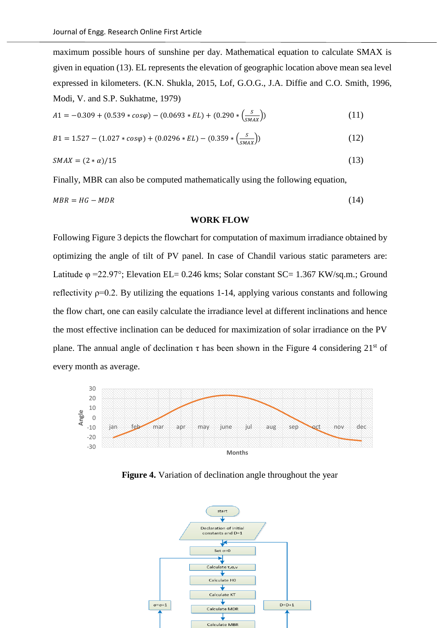maximum possible hours of sunshine per day. Mathematical equation to calculate SMAX is given in equation (13). EL represents the elevation of geographic location above mean sea level expressed in kilometers. (K.N. Shukla, 2015, Lof, G.O.G., J.A. Diffie and C.O. Smith, 1996, Modi, V. and S.P. Sukhatme, 1979)

$$
A1 = -0.309 + (0.539 * cos\varphi) - (0.0693 * EL) + (0.290 * \left(\frac{s}{s_{MAX}}\right))\tag{11}
$$

$$
B1 = 1.527 - (1.027 * cos\varphi) + (0.0296 * EL) - (0.359 * \left(\frac{s}{s_{MAX}}\right))
$$
\n(12)

$$
SMAX = (2 * \alpha)/15 \tag{13}
$$

Finally, MBR can also be computed mathematically using the following equation,

 $MBR = HG - MDR$  (14)

#### **WORK FLOW**

Following Figure 3 depicts the flowchart for computation of maximum irradiance obtained by optimizing the angle of tilt of PV panel. In case of Chandil various static parameters are: Latitude  $\varphi$  =22.97°; Elevation EL= 0.246 kms; Solar constant SC= 1.367 KW/sq.m.; Ground reflectivity  $p=0.2$ . By utilizing the equations 1-14, applying various constants and following the flow chart, one can easily calculate the irradiance level at different inclinations and hence the most effective inclination can be deduced for maximization of solar irradiance on the PV plane. The annual angle of declination  $\tau$  has been shown in the Figure 4 considering 21<sup>st</sup> of every month as average.



**Figure 4.** Variation of declination angle throughout the year

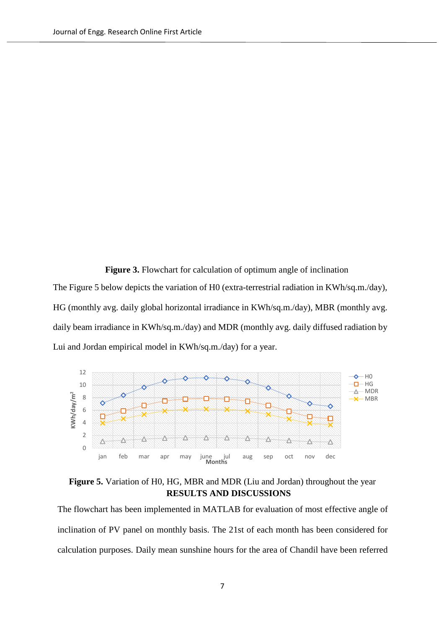**Figure 3.** Flowchart for calculation of optimum angle of inclination The Figure 5 below depicts the variation of H0 (extra-terrestrial radiation in KWh/sq.m./day), HG (monthly avg. daily global horizontal irradiance in KWh/sq.m./day), MBR (monthly avg. daily beam irradiance in KWh/sq.m./day) and MDR (monthly avg. daily diffused radiation by Lui and Jordan empirical model in KWh/sq.m./day) for a year.



**Figure 5.** Variation of H0, HG, MBR and MDR (Liu and Jordan) throughout the year **RESULTS AND DISCUSSIONS**

The flowchart has been implemented in MATLAB for evaluation of most effective angle of inclination of PV panel on monthly basis. The 21st of each month has been considered for calculation purposes. Daily mean sunshine hours for the area of Chandil have been referred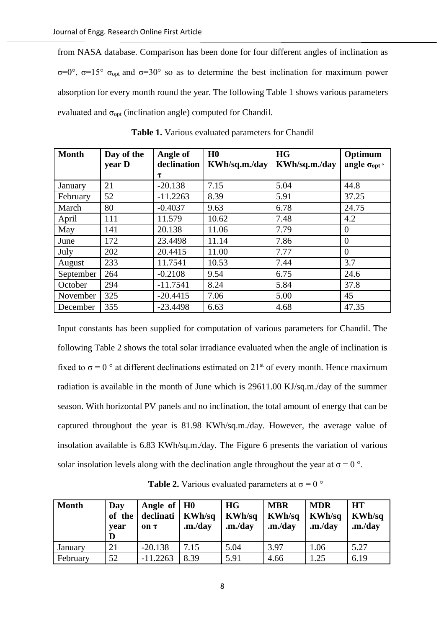from NASA database. Comparison has been done for four different angles of inclination as  $\sigma$ =0°,  $\sigma$ =15°  $\sigma$ <sub>opt</sub> and  $\sigma$ =30° so as to determine the best inclination for maximum power absorption for every month round the year. The following Table 1 shows various parameters evaluated and  $\sigma_{opt}$  (inclination angle) computed for Chandil.

| <b>Month</b> | Day of the | Angle of       | H <sub>0</sub> | <b>HG</b>     | Optimum              |
|--------------|------------|----------------|----------------|---------------|----------------------|
|              | year D     | declination    | KWh/sq.m./day  | KWh/sq.m./day | angle $\sigma_{opt}$ |
|              | 21         | τ<br>$-20.138$ | 7.15           | 5.04          | 44.8                 |
| January      |            |                |                |               |                      |
| February     | 52         | $-11.2263$     | 8.39           | 5.91          | 37.25                |
| March        | 80         | $-0.4037$      | 9.63           | 6.78          | 24.75                |
| April        | 111        | 11.579         | 10.62          | 7.48          | 4.2                  |
| May          | 141        | 20.138         | 11.06          | 7.79          | $\theta$             |
| June         | 172        | 23.4498        | 11.14          | 7.86          | $\theta$             |
| July         | 202        | 20.4415        | 11.00          | 7.77          | $\Omega$             |
| August       | 233        | 11.7541        | 10.53          | 7.44          | 3.7                  |
| September    | 264        | $-0.2108$      | 9.54           | 6.75          | 24.6                 |
| October      | 294        | $-11.7541$     | 8.24           | 5.84          | 37.8                 |
| November     | 325        | $-20.4415$     | 7.06           | 5.00          | 45                   |
| December     | 355        | $-23.4498$     | 6.63           | 4.68          | 47.35                |

**Table 1.** Various evaluated parameters for Chandil

Input constants has been supplied for computation of various parameters for Chandil. The following Table 2 shows the total solar irradiance evaluated when the angle of inclination is fixed to  $\sigma = 0$  ° at different declinations estimated on 21<sup>st</sup> of every month. Hence maximum radiation is available in the month of June which is 29611.00 KJ/sq.m./day of the summer season. With horizontal PV panels and no inclination, the total amount of energy that can be captured throughout the year is 81.98 KWh/sq.m./day. However, the average value of insolation available is 6.83 KWh/sq.m./day. The Figure 6 presents the variation of various solar insolation levels along with the declination angle throughout the year at  $\sigma = 0$ °.

**Table 2.** Various evaluated parameters at  $\sigma = 0$ <sup>o</sup>

| <b>Month</b> | Day<br>of the<br>vear<br>D | Angle of   H <sub>0</sub><br>declinati<br>on $\tau$ | <b>KWh/sq</b><br>.m./day | <b>HG</b><br>KWh/sq<br>.m./day | <b>MBR</b><br>KWh/sq<br>.m./day | <b>MDR</b><br><b>KWh/sq</b><br>.m./day | <b>HT</b><br><b>KWh/sq</b><br>.m./day |
|--------------|----------------------------|-----------------------------------------------------|--------------------------|--------------------------------|---------------------------------|----------------------------------------|---------------------------------------|
| January      | 21                         | $-20.138$                                           | 7.15                     | 5.04                           | 3.97                            | 1.06                                   | 5.27                                  |
| February     | 52                         | $-11.2263$                                          | 8.39                     | 5.91                           | 4.66                            | 1.25                                   | 6.19                                  |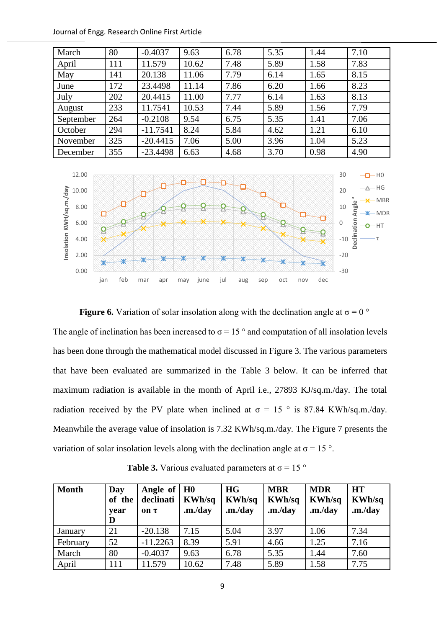| March     | 80  | $-0.4037$  | 9.63  | 6.78 | 5.35 | 1.44 | 7.10 |
|-----------|-----|------------|-------|------|------|------|------|
| April     | 111 | 11.579     | 10.62 | 7.48 | 5.89 | 1.58 | 7.83 |
| May       | 141 | 20.138     | 11.06 | 7.79 | 6.14 | 1.65 | 8.15 |
| June      | 172 | 23.4498    | 11.14 | 7.86 | 6.20 | 1.66 | 8.23 |
| July      | 202 | 20.4415    | 11.00 | 7.77 | 6.14 | 1.63 | 8.13 |
| August    | 233 | 11.7541    | 10.53 | 7.44 | 5.89 | 1.56 | 7.79 |
| September | 264 | $-0.2108$  | 9.54  | 6.75 | 5.35 | 1.41 | 7.06 |
| October   | 294 | $-11.7541$ | 8.24  | 5.84 | 4.62 | 1.21 | 6.10 |
| November  | 325 | $-20.4415$ | 7.06  | 5.00 | 3.96 | 1.04 | 5.23 |
| December  | 355 | $-23.4498$ | 6.63  | 4.68 | 3.70 | 0.98 | 4.90 |



**Figure 6.** Variation of solar insolation along with the declination angle at  $\sigma = 0$  ° The angle of inclination has been increased to  $\sigma = 15$  ° and computation of all insolation levels has been done through the mathematical model discussed in Figure 3. The various parameters that have been evaluated are summarized in the Table 3 below. It can be inferred that maximum radiation is available in the month of April i.e., 27893 KJ/sq.m./day. The total radiation received by the PV plate when inclined at  $\sigma = 15$  ° is 87.84 KWh/sq.m./day. Meanwhile the average value of insolation is 7.32 KWh/sq.m./day. The Figure 7 presents the variation of solar insolation levels along with the declination angle at  $\sigma = 15$ °.

| <b>Month</b> | Day<br>of the<br>year<br>D | Angle of<br>declinati<br>on $\tau$ | H <sub>0</sub><br><b>KWh/sq</b><br>.m./day | <b>HG</b><br><b>KWh/sq</b><br>.m./day | <b>MBR</b><br><b>KWh/sq</b><br>.m./day | <b>MDR</b><br><b>KWh/sq</b><br>.m./day | <b>HT</b><br><b>KWh/sq</b><br>.m./day |
|--------------|----------------------------|------------------------------------|--------------------------------------------|---------------------------------------|----------------------------------------|----------------------------------------|---------------------------------------|
| January      | 21                         | $-20.138$                          | 7.15                                       | 5.04                                  | 3.97                                   | 1.06                                   | 7.34                                  |
| February     | 52                         | $-11.2263$                         | 8.39                                       | 5.91                                  | 4.66                                   | 1.25                                   | 7.16                                  |
| March        | 80                         | $-0.4037$                          | 9.63                                       | 6.78                                  | 5.35                                   | 1.44                                   | 7.60                                  |
| April        | 111                        | 11.579                             | 10.62                                      | 7.48                                  | 5.89                                   | 1.58                                   | 7.75                                  |

**Table 3.** Various evaluated parameters at  $\sigma = 15$  °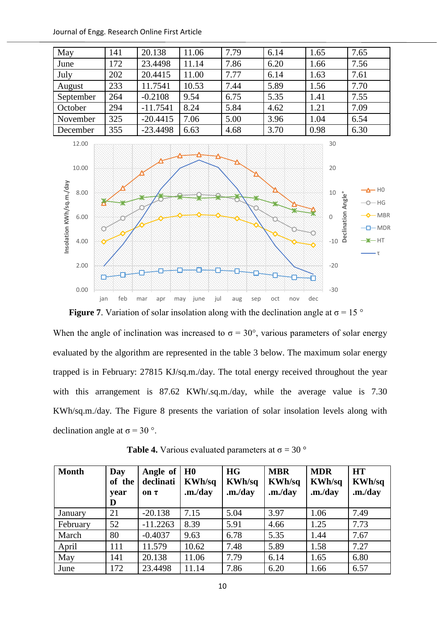| May       | 141 | 20.138     | 11.06 | 7.79 | 6.14 | 1.65 | 7.65 |
|-----------|-----|------------|-------|------|------|------|------|
| June      | 172 | 23.4498    | 11.14 | 7.86 | 6.20 | 1.66 | 7.56 |
| July      | 202 | 20.4415    | 11.00 | 7.77 | 6.14 | 1.63 | 7.61 |
| August    | 233 | 11.7541    | 10.53 | 7.44 | 5.89 | 1.56 | 7.70 |
| September | 264 | $-0.2108$  | 9.54  | 6.75 | 5.35 | 1.41 | 7.55 |
| October   | 294 | $-11.7541$ | 8.24  | 5.84 | 4.62 | 1.21 | 7.09 |
| November  | 325 | $-20.4415$ | 7.06  | 5.00 | 3.96 | 1.04 | 6.54 |
| December  | 355 | $-23.4498$ | 6.63  | 4.68 | 3.70 | 0.98 | 6.30 |



**Figure 7**. Variation of solar insolation along with the declination angle at  $\sigma = 15$  °

When the angle of inclination was increased to  $\sigma = 30^{\circ}$ , various parameters of solar energy evaluated by the algorithm are represented in the table 3 below. The maximum solar energy trapped is in February: 27815 KJ/sq.m./day. The total energy received throughout the year with this arrangement is 87.62 KWh/.sq.m./day, while the average value is 7.30 KWh/sq.m./day. The Figure 8 presents the variation of solar insolation levels along with declination angle at  $\sigma = 30$  °.

| <b>Month</b> | Day<br>of the<br>year | Angle of<br>declinati<br>on $\tau$ | H <sub>0</sub><br><b>KWh/sq</b><br>.m./day | HG<br><b>KWh/sq</b><br>.m./day | <b>MBR</b><br><b>KWh/sq</b><br>.m./day | <b>MDR</b><br><b>KWh/sq</b><br>.m./day | <b>HT</b><br><b>KWh/sq</b><br>.m./day |
|--------------|-----------------------|------------------------------------|--------------------------------------------|--------------------------------|----------------------------------------|----------------------------------------|---------------------------------------|
| January      | D<br>21               | $-20.138$                          | 7.15                                       | 5.04                           | 3.97                                   | 1.06                                   | 7.49                                  |
| February     | 52                    | $-11.2263$                         | 8.39                                       | 5.91                           | 4.66                                   | 1.25                                   | 7.73                                  |
| March        | 80                    | $-0.4037$                          | 9.63                                       | 6.78                           | 5.35                                   | 1.44                                   | 7.67                                  |
| April        | 111                   | 11.579                             | 10.62                                      | 7.48                           | 5.89                                   | 1.58                                   | 7.27                                  |
| May          | 141                   | 20.138                             | 11.06                                      | 7.79                           | 6.14                                   | 1.65                                   | 6.80                                  |
| June         | 172                   | 23.4498                            | 11.14                                      | 7.86                           | 6.20                                   | 1.66                                   | 6.57                                  |

**Table 4.** Various evaluated parameters at  $\sigma = 30$  °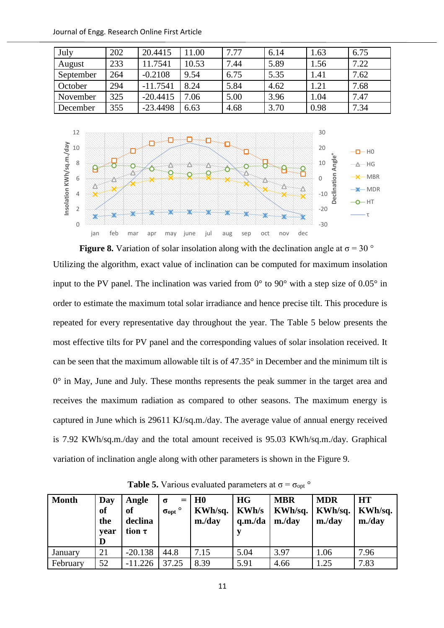| July      | 202 | 20.4415    | 1.00  | 7.77 | 6.14 | 1.63 | 6.75 |
|-----------|-----|------------|-------|------|------|------|------|
| August    | 233 | .7541      | 10.53 | 7.44 | 5.89 | 1.56 | 7.22 |
| September | 264 | $-0.2108$  | 9.54  | 6.75 | 5.35 | 1.41 | 7.62 |
| October   | 294 | $-11.7541$ | 8.24  | 5.84 | 4.62 | 1.21 | 7.68 |
| November  | 325 | $-20.4415$ | 7.06  | 5.00 | 3.96 | 1.04 | 7.47 |
| December  | 355 | $-23.4498$ | 6.63  | 4.68 | 3.70 | 0.98 | 7.34 |



**Figure 8.** Variation of solar insolation along with the declination angle at  $\sigma = 30$  ° Utilizing the algorithm, exact value of inclination can be computed for maximum insolation input to the PV panel. The inclination was varied from 0° to 90° with a step size of 0.05° in order to estimate the maximum total solar irradiance and hence precise tilt. This procedure is repeated for every representative day throughout the year. The Table 5 below presents the most effective tilts for PV panel and the corresponding values of solar insolation received. It can be seen that the maximum allowable tilt is of 47.35° in December and the minimum tilt is  $0^{\circ}$  in May, June and July. These months represents the peak summer in the target area and receives the maximum radiation as compared to other seasons. The maximum energy is captured in June which is 29611 KJ/sq.m./day. The average value of annual energy received is 7.92 KWh/sq.m./day and the total amount received is 95.03 KWh/sq.m./day. Graphical variation of inclination angle along with other parameters is shown in the Figure 9.

| <b>Month</b> | Day<br><b>of</b><br>the<br>year<br>D | Angle<br>of<br>declina<br>tion $\tau$ | $=$<br>σ<br>$\sigma_{\text{opt}}$ <sup>o</sup> | H <sub>0</sub><br>KWh/sq.<br>m./day | <b>HG</b><br><b>KWh/s</b><br>q.m./da | <b>MBR</b><br>KWh/sq.<br>m./day | <b>MDR</b><br>KWh/sq.<br>m./day | <b>HT</b><br>KWh/sq.<br>m./day |
|--------------|--------------------------------------|---------------------------------------|------------------------------------------------|-------------------------------------|--------------------------------------|---------------------------------|---------------------------------|--------------------------------|
| January      | 21                                   | $-20.138$                             | 44.8                                           | 7.15                                | 5.04                                 | 3.97                            | 1.06                            | 7.96                           |
| February     | 52                                   | $-11.226$                             | 37.25                                          | 8.39                                | 5.91                                 | 4.66                            | .25                             | 7.83                           |

**Table 5.** Various evaluated parameters at  $\sigma = \sigma_{opt}$  °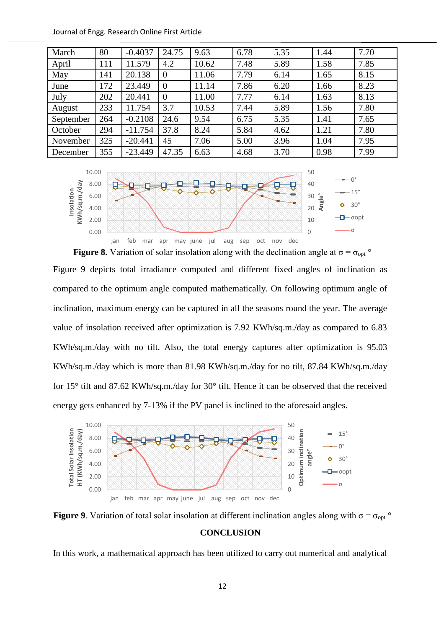| March     | 80  | $-0.4037$ | 24.75          | 9.63  | 6.78 | 5.35 | 1.44 | 7.70 |
|-----------|-----|-----------|----------------|-------|------|------|------|------|
| April     | 111 | 11.579    | 4.2            | 10.62 | 7.48 | 5.89 | 1.58 | 7.85 |
| May       | 141 | 20.138    | $\overline{0}$ | 11.06 | 7.79 | 6.14 | 1.65 | 8.15 |
| June      | 172 | 23.449    | $\theta$       | 11.14 | 7.86 | 6.20 | 1.66 | 8.23 |
| July      | 202 | 20.441    | $\theta$       | 11.00 | 7.77 | 6.14 | 1.63 | 8.13 |
| August    | 233 | 11.754    | 3.7            | 10.53 | 7.44 | 5.89 | 1.56 | 7.80 |
| September | 264 | $-0.2108$ | 24.6           | 9.54  | 6.75 | 5.35 | 1.41 | 7.65 |
| October   | 294 | $-11.754$ | 37.8           | 8.24  | 5.84 | 4.62 | 1.21 | 7.80 |
| November  | 325 | $-20.441$ | 45             | 7.06  | 5.00 | 3.96 | 1.04 | 7.95 |
| December  | 355 | $-23.449$ | 47.35          | 6.63  | 4.68 | 3.70 | 0.98 | 7.99 |



**Figure 8.** Variation of solar insolation along with the declination angle at  $\sigma = \sigma_{opt}$  °

Figure 9 depicts total irradiance computed and different fixed angles of inclination as compared to the optimum angle computed mathematically. On following optimum angle of inclination, maximum energy can be captured in all the seasons round the year. The average value of insolation received after optimization is 7.92 KWh/sq.m./day as compared to 6.83 KWh/sq.m./day with no tilt. Also, the total energy captures after optimization is 95.03 KWh/sq.m./day which is more than 81.98 KWh/sq.m./day for no tilt, 87.84 KWh/sq.m./day for 15° tilt and 87.62 KWh/sq.m./day for 30° tilt. Hence it can be observed that the received energy gets enhanced by 7-13% if the PV panel is inclined to the aforesaid angles.



**Figure 9**. Variation of total solar insolation at different inclination angles along with  $\sigma = \sigma_{opt}$  °

## **CONCLUSION**

In this work, a mathematical approach has been utilized to carry out numerical and analytical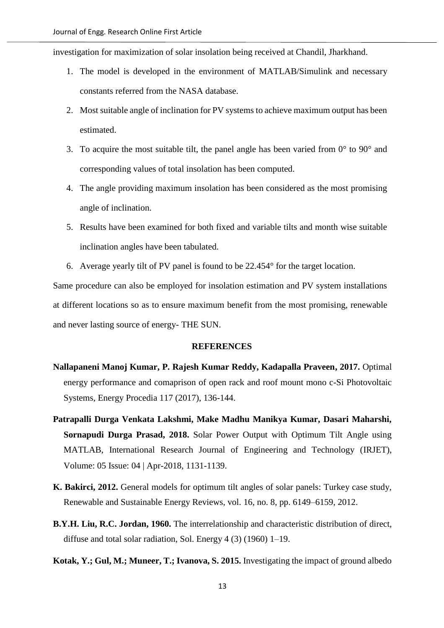investigation for maximization of solar insolation being received at Chandil, Jharkhand.

- 1. The model is developed in the environment of MATLAB/Simulink and necessary constants referred from the NASA database.
- 2. Most suitable angle of inclination for PV systems to achieve maximum output has been estimated.
- 3. To acquire the most suitable tilt, the panel angle has been varied from  $0^{\circ}$  to  $90^{\circ}$  and corresponding values of total insolation has been computed.
- 4. The angle providing maximum insolation has been considered as the most promising angle of inclination.
- 5. Results have been examined for both fixed and variable tilts and month wise suitable inclination angles have been tabulated.
- 6. Average yearly tilt of PV panel is found to be 22.454° for the target location.

Same procedure can also be employed for insolation estimation and PV system installations at different locations so as to ensure maximum benefit from the most promising, renewable and never lasting source of energy- THE SUN.

## **REFERENCES**

- **Nallapaneni Manoj Kumar, P. Rajesh Kumar Reddy, Kadapalla Praveen, 2017.** Optimal energy performance and comaprison of open rack and roof mount mono c-Si Photovoltaic Systems, Energy Procedia 117 (2017), 136-144.
- **Patrapalli Durga Venkata Lakshmi, Make Madhu Manikya Kumar, Dasari Maharshi, Sornapudi Durga Prasad, 2018.** Solar Power Output with Optimum Tilt Angle using MATLAB, International Research Journal of Engineering and Technology (IRJET), Volume: 05 Issue: 04 | Apr-2018, 1131-1139.
- **K. Bakirci, 2012.** General models for optimum tilt angles of solar panels: Turkey case study, Renewable and Sustainable Energy Reviews, vol. 16, no. 8, pp. 6149–6159, 2012.
- **B.Y.H. Liu, R.C. Jordan, 1960.** The interrelationship and characteristic distribution of direct, diffuse and total solar radiation, Sol. Energy 4 (3) (1960) 1–19.
- **Kotak, Y.; Gul, M.; Muneer, T.; Ivanova, S. 2015.** Investigating the impact of ground albedo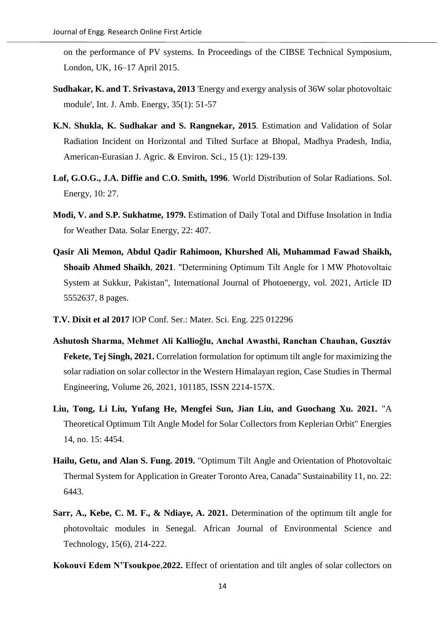on the performance of PV systems. In Proceedings of the CIBSE Technical Symposium, London, UK, 16–17 April 2015.

- **Sudhakar, K. and T. Srivastava, 2013** 'Energy and exergy analysis of 36W solar photovoltaic module', Int. J. Amb. Energy, 35(1): 51-57
- **K.N. Shukla, K. Sudhakar and S. Rangnekar, 2015**. Estimation and Validation of Solar Radiation Incident on Horizontal and Tilted Surface at Bhopal, Madhya Pradesh, India, American-Eurasian J. Agric. & Environ. Sci., 15 (1): 129-139.
- **Lof, G.O.G., J.A. Diffie and C.O. Smith, 1996**. World Distribution of Solar Radiations. Sol. Energy, 10: 27.
- **Modi, V. and S.P. Sukhatme, 1979.** Estimation of Daily Total and Diffuse Insolation in India for Weather Data. Solar Energy, 22: 407.
- **Qasir Ali Memon, Abdul Qadir Rahimoon, Khurshed Ali, Muhammad Fawad Shaikh, Shoaib Ahmed Shaikh**, **2021**. "Determining Optimum Tilt Angle for 1 MW Photovoltaic System at Sukkur, Pakistan", International Journal of Photoenergy, vol. 2021, Article ID 5552637, 8 pages.
- **T.V. Dixit et al 2017** IOP Conf. Ser.: Mater. Sci. Eng. 225 012296
- **Ashutosh Sharma, Mehmet Ali Kallioğlu, Anchal Awasthi, Ranchan Chauhan, Gusztáv Fekete, Tej Singh, 2021.** Correlation formulation for optimum tilt angle for maximizing the solar radiation on solar collector in the Western Himalayan region, Case Studies in Thermal Engineering, Volume 26, 2021, 101185, ISSN 2214-157X.
- **Liu, Tong, Li Liu, Yufang He, Mengfei Sun, Jian Liu, and Guochang Xu. 2021.** "A Theoretical Optimum Tilt Angle Model for Solar Collectors from Keplerian Orbit" Energies 14, no. 15: 4454.
- **Hailu, Getu, and Alan S. Fung. 2019.** "Optimum Tilt Angle and Orientation of Photovoltaic Thermal System for Application in Greater Toronto Area, Canada" Sustainability 11, no. 22: 6443.
- **Sarr, A., Kebe, C. M. F., & Ndiaye, A. 2021.** Determination of the optimum tilt angle for photovoltaic modules in Senegal. African Journal of Environmental Science and Technology, 15(6), 214-222.
- **Kokouvi Edem N'Tsoukpoe**,**2022.** Effect of orientation and tilt angles of solar collectors on